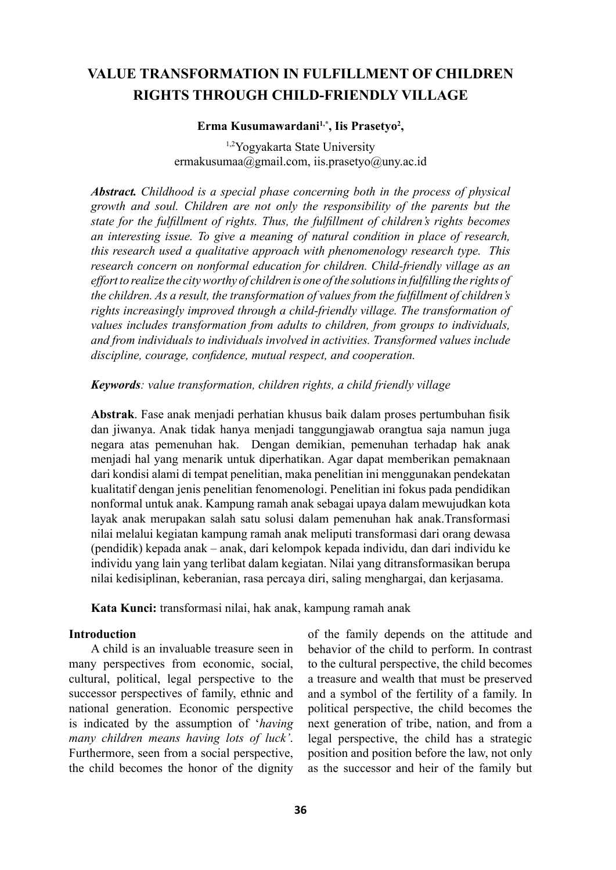# **VALUE TRANSFORMATION IN FULFILLMENT OF CHILDREN RIGHTS THROUGH CHILD-FRIENDLY VILLAGE**

### **Erma Kusumawardani1,\*, Iis Prasetyo2 ,**

1,2Yogyakarta State University [ermakusumaa@gmail.com](mailto:ermakusumaa@gmail.com), iis.prasetyo@uny.ac.id

*Abstract. Childhood is a special phase concerning both in the process of physical growth and soul. Children are not only the responsibility of the parents but the state for the fulfillment of rights. Thus, the fulfillment of children's rights becomes an interesting issue. To give a meaning of natural condition in place of research, this research used a qualitative approach with phenomenology research type. This research concern on nonformal education for children. Child-friendly village as an effort to realize the city worthy of children is one of the solutions in fulfilling the rights of the children. As a result, the transformation of values from the fulfillment of children's rights increasingly improved through a child-friendly village. The transformation of values includes transformation from adults to children, from groups to individuals, and from individuals to individuals involved in activities. Transformed values include discipline, courage, confidence, mutual respect, and cooperation.* 

#### *Keywords: value transformation, children rights, a child friendly village*

**Abstrak**. Fase anak menjadi perhatian khusus baik dalam proses pertumbuhan fisik dan jiwanya. Anak tidak hanya menjadi tanggungjawab orangtua saja namun juga negara atas pemenuhan hak. Dengan demikian, pemenuhan terhadap hak anak menjadi hal yang menarik untuk diperhatikan. Agar dapat memberikan pemaknaan dari kondisi alami di tempat penelitian, maka penelitian ini menggunakan pendekatan kualitatif dengan jenis penelitian fenomenologi. Penelitian ini fokus pada pendidikan nonformal untuk anak. Kampung ramah anak sebagai upaya dalam mewujudkan kota layak anak merupakan salah satu solusi dalam pemenuhan hak anak.Transformasi nilai melalui kegiatan kampung ramah anak meliputi transformasi dari orang dewasa (pendidik) kepada anak – anak, dari kelompok kepada individu, dan dari individu ke individu yang lain yang terlibat dalam kegiatan. Nilai yang ditransformasikan berupa nilai kedisiplinan, keberanian, rasa percaya diri, saling menghargai, dan kerjasama.

**Kata Kunci:** transformasi nilai, hak anak, kampung ramah anak

#### **Introduction**

A child is an invaluable treasure seen in many perspectives from economic, social, cultural, political, legal perspective to the successor perspectives of family, ethnic and national generation. Economic perspective is indicated by the assumption of '*having many children means having lots of luck'*. Furthermore, seen from a social perspective, the child becomes the honor of the dignity of the family depends on the attitude and behavior of the child to perform. In contrast to the cultural perspective, the child becomes a treasure and wealth that must be preserved and a symbol of the fertility of a family. In political perspective, the child becomes the next generation of tribe, nation, and from a legal perspective, the child has a strategic position and position before the law, not only as the successor and heir of the family but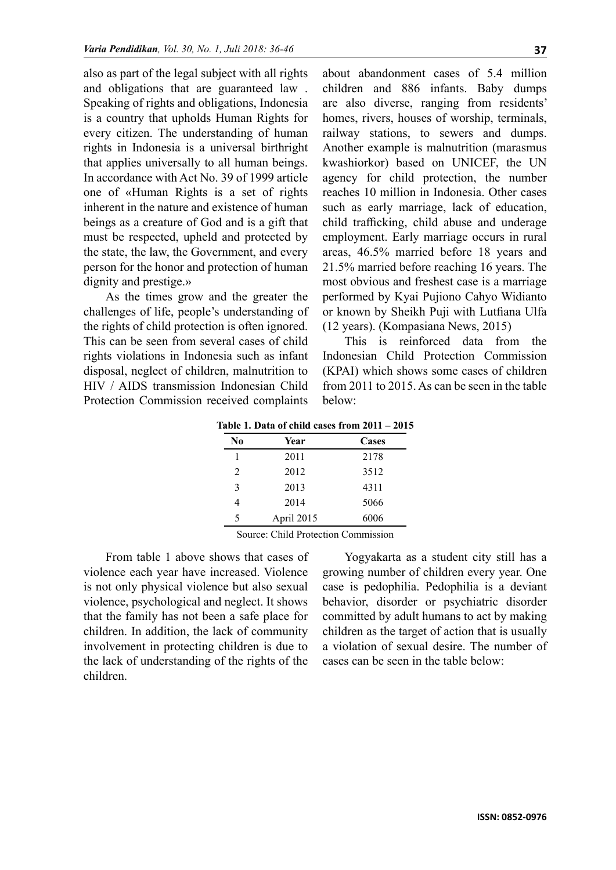also as part of the legal subject with all rights and obligations that are guaranteed law . Speaking of rights and obligations, Indonesia is a country that upholds Human Rights for every citizen. The understanding of human rights in Indonesia is a universal birthright that applies universally to all human beings. In accordance with Act No. 39 of 1999 article one of «Human Rights is a set of rights inherent in the nature and existence of human beings as a creature of God and is a gift that must be respected, upheld and protected by the state, the law, the Government, and every person for the honor and protection of human dignity and prestige.»

As the times grow and the greater the challenges of life, people's understanding of the rights of child protection is often ignored. This can be seen from several cases of child rights violations in Indonesia such as infant disposal, neglect of children, malnutrition to HIV / AIDS transmission Indonesian Child Protection Commission received complaints

about abandonment cases of 5.4 million children and 886 infants. Baby dumps are also diverse, ranging from residents' homes, rivers, houses of worship, terminals, railway stations, to sewers and dumps. Another example is malnutrition (marasmus kwashiorkor) based on UNICEF, the UN agency for child protection, the number reaches 10 million in Indonesia. Other cases such as early marriage, lack of education, child trafficking, child abuse and underage employment. Early marriage occurs in rural areas, 46.5% married before 18 years and 21.5% married before reaching 16 years. The most obvious and freshest case is a marriage performed by Kyai Pujiono Cahyo Widianto or known by Sheikh Puji with Lutfiana Ulfa (12 years). (Kompasiana News, 2015)

This is reinforced data from the Indonesian Child Protection Commission (KPAI) which shows some cases of children from 2011 to 2015. As can be seen in the table below:

| Table 1. Data of child cases from 2011 – 2015 |  |  |  |  |  |  |
|-----------------------------------------------|--|--|--|--|--|--|
|-----------------------------------------------|--|--|--|--|--|--|

| N0             | Year       | Cases |
|----------------|------------|-------|
|                | 2011       | 2178  |
| $\mathfrak{D}$ | 2012       | 3512  |
| 3              | 2013       | 4311  |
|                | 2014       | 5066  |
| 5              | April 2015 | 6006  |

Source: Child Protection Commission

From table 1 above shows that cases of violence each year have increased. Violence is not only physical violence but also sexual violence, psychological and neglect. It shows that the family has not been a safe place for children. In addition, the lack of community involvement in protecting children is due to the lack of understanding of the rights of the children.

Yogyakarta as a student city still has a growing number of children every year. One case is pedophilia. Pedophilia is a deviant behavior, disorder or psychiatric disorder committed by adult humans to act by making children as the target of action that is usually a violation of sexual desire. The number of cases can be seen in the table below: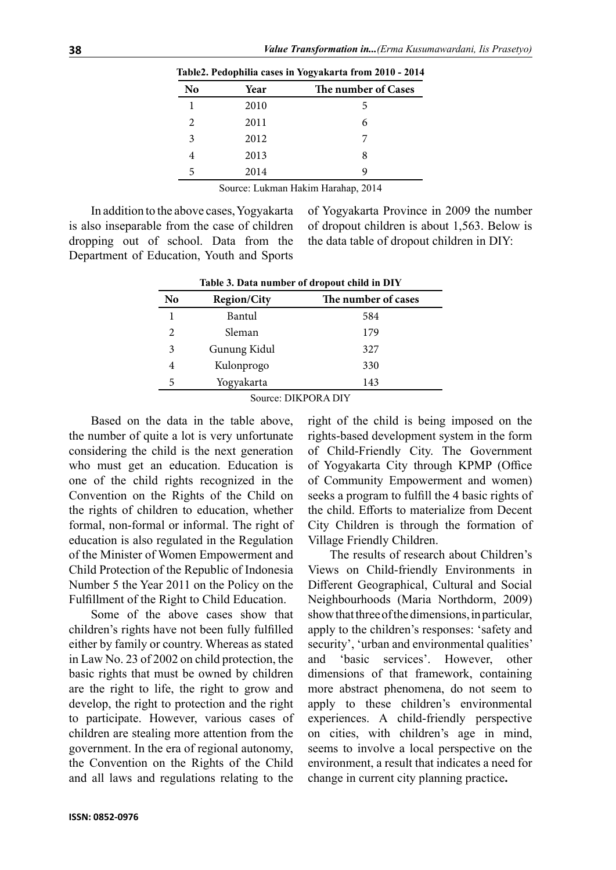| No | Year | The number of Cases |
|----|------|---------------------|
|    | 2010 | 5                   |
| 2  | 2011 | 6                   |
| 3  | 2012 |                     |
|    | 2013 | 8                   |
| 5  | 2014 | 9                   |
|    |      |                     |

**Table2. Pedophilia cases in Yogyakarta from 2010 - 2014**

Source: Lukman Hakim Harahap, 2014

In addition to the above cases, Yogyakarta is also inseparable from the case of children dropping out of school. Data from the Department of Education, Youth and Sports of Yogyakarta Province in 2009 the number of dropout children is about 1,563. Below is the data table of dropout children in DIY:

| Table 5. Data number of dropout clind in DTT |                    |                     |  |  |
|----------------------------------------------|--------------------|---------------------|--|--|
| No                                           | <b>Region/City</b> | The number of cases |  |  |
|                                              | Bantul             | 584                 |  |  |
| 2                                            | Sleman             | 179                 |  |  |
| 3                                            | Gunung Kidul       | 327                 |  |  |
| 4                                            | Kulonprogo         | 330                 |  |  |
| 5                                            | Yogyakarta         | 143                 |  |  |
|                                              |                    |                     |  |  |

**Table 3. Data number of dropout child in DIY**

Source: DIKPORA DIY

Based on the data in the table above, the number of quite a lot is very unfortunate considering the child is the next generation who must get an education. Education is one of the child rights recognized in the Convention on the Rights of the Child on the rights of children to education, whether formal, non-formal or informal. The right of education is also regulated in the Regulation of the Minister of Women Empowerment and Child Protection of the Republic of Indonesia Number 5 the Year 2011 on the Policy on the Fulfillment of the Right to Child Education.

Some of the above cases show that children's rights have not been fully fulfilled either by family or country. Whereas as stated in Law No. 23 of 2002 on child protection, the basic rights that must be owned by children are the right to life, the right to grow and develop, the right to protection and the right to participate. However, various cases of children are stealing more attention from the government. In the era of regional autonomy, the Convention on the Rights of the Child and all laws and regulations relating to the

right of the child is being imposed on the rights-based development system in the form of Child-Friendly City. The Government of Yogyakarta City through KPMP (Office of Community Empowerment and women) seeks a program to fulfill the 4 basic rights of the child. Efforts to materialize from Decent City Children is through the formation of Village Friendly Children.

The results of research about Children's Views on Child-friendly Environments in Different Geographical, Cultural and Social Neighbourhoods (Maria Northdorm, 2009) show that three of the dimensions, in particular, apply to the children's responses: 'safety and security', 'urban and environmental qualities' and 'basic services'. However, other dimensions of that framework, containing more abstract phenomena, do not seem to apply to these children's environmental experiences. A child-friendly perspective on cities, with children's age in mind, seems to involve a local perspective on the environment, a result that indicates a need for change in current city planning practice**.**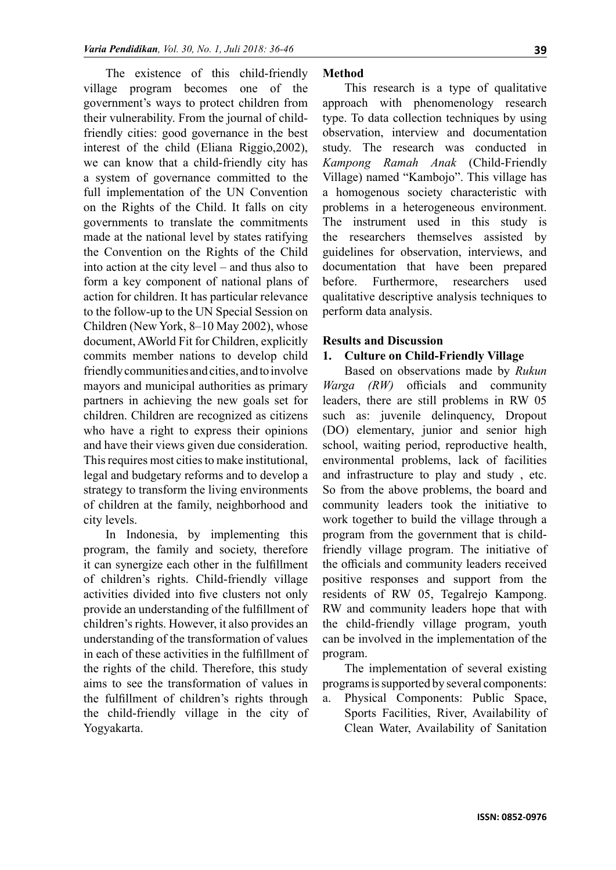The existence of this child-friendly village program becomes one of the government's ways to protect children from their vulnerability. From the journal of childfriendly cities: good governance in the best interest of the child (Eliana Riggio,2002), we can know that a child-friendly city has a system of governance committed to the full implementation of the UN Convention on the Rights of the Child. It falls on city governments to translate the commitments made at the national level by states ratifying the Convention on the Rights of the Child into action at the city level – and thus also to form a key component of national plans of action for children. It has particular relevance to the follow-up to the UN Special Session on Children (New York, 8–10 May 2002), whose document, AWorld Fit for Children, explicitly commits member nations to develop child friendly communities and cities, and to involve mayors and municipal authorities as primary partners in achieving the new goals set for children. Children are recognized as citizens who have a right to express their opinions and have their views given due consideration. This requires most cities to make institutional, legal and budgetary reforms and to develop a strategy to transform the living environments of children at the family, neighborhood and city levels.

In Indonesia, by implementing this program, the family and society, therefore it can synergize each other in the fulfillment of children's rights. Child-friendly village activities divided into five clusters not only provide an understanding of the fulfillment of children's rights. However, it also provides an understanding of the transformation of values in each of these activities in the fulfillment of the rights of the child. Therefore, this study aims to see the transformation of values in the fulfillment of children's rights through the child-friendly village in the city of Yogyakarta.

#### **Method**

This research is a type of qualitative approach with phenomenology research type. To data collection techniques by using observation, interview and documentation study. The research was conducted in *Kampong Ramah Anak* (Child-Friendly Village) named "Kambojo". This village has a homogenous society characteristic with problems in a heterogeneous environment. The instrument used in this study is the researchers themselves assisted by guidelines for observation, interviews, and documentation that have been prepared before. Furthermore, researchers used qualitative descriptive analysis techniques to perform data analysis.

#### **Results and Discussion**

#### **1. Culture on Child-Friendly Village**

Based on observations made by *Rukun Warga (RW)* officials and community leaders, there are still problems in RW 05 such as: juvenile delinquency, Dropout (DO) elementary, junior and senior high school, waiting period, reproductive health, environmental problems, lack of facilities and infrastructure to play and study , etc. So from the above problems, the board and community leaders took the initiative to work together to build the village through a program from the government that is childfriendly village program. The initiative of the officials and community leaders received positive responses and support from the residents of RW 05, Tegalrejo Kampong. RW and community leaders hope that with the child-friendly village program, youth can be involved in the implementation of the program.

The implementation of several existing programs is supported by several components:

a. Physical Components: Public Space, Sports Facilities, River, Availability of Clean Water, Availability of Sanitation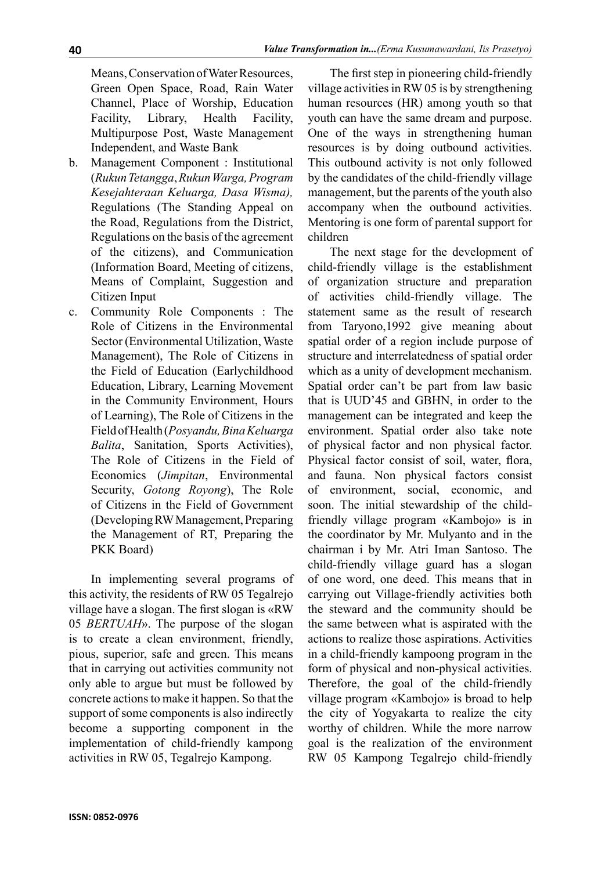Means, Conservation of Water Resources, Green Open Space, Road, Rain Water Channel, Place of Worship, Education Facility, Library, Health Facility, Multipurpose Post, Waste Management Independent, and Waste Bank

- b. Management Component : Institutional (*Rukun Tetangga*, *Rukun Warga, Program Kesejahteraan Keluarga, Dasa Wisma),*  Regulations (The Standing Appeal on the Road, Regulations from the District, Regulations on the basis of the agreement of the citizens), and Communication (Information Board, Meeting of citizens, Means of Complaint, Suggestion and Citizen Input
- c. Community Role Components : The Role of Citizens in the Environmental Sector (Environmental Utilization, Waste Management), The Role of Citizens in the Field of Education (Earlychildhood Education, Library, Learning Movement in the Community Environment, Hours of Learning), The Role of Citizens in the Field of Health (*Posyandu, Bina Keluarga Balita*, Sanitation, Sports Activities), The Role of Citizens in the Field of Economics (*Jimpitan*, Environmental Security, *Gotong Royong*), The Role of Citizens in the Field of Government (Developing RW Management, Preparing the Management of RT, Preparing the PKK Board)

In implementing several programs of this activity, the residents of RW 05 Tegalrejo village have a slogan. The first slogan is «RW 05 *BERTUAH*». The purpose of the slogan is to create a clean environment, friendly, pious, superior, safe and green. This means that in carrying out activities community not only able to argue but must be followed by concrete actions to make it happen. So that the support of some components is also indirectly become a supporting component in the implementation of child-friendly kampong activities in RW 05, Tegalrejo Kampong.

The first step in pioneering child-friendly village activities in RW 05 is by strengthening human resources (HR) among youth so that youth can have the same dream and purpose. One of the ways in strengthening human resources is by doing outbound activities. This outbound activity is not only followed by the candidates of the child-friendly village management, but the parents of the youth also accompany when the outbound activities. Mentoring is one form of parental support for children

The next stage for the development of child-friendly village is the establishment of organization structure and preparation of activities child-friendly village. The statement same as the result of research from Taryono,1992 give meaning about spatial order of a region include purpose of structure and interrelatedness of spatial order which as a unity of development mechanism. Spatial order can't be part from law basic that is UUD'45 and GBHN, in order to the management can be integrated and keep the environment. Spatial order also take note of physical factor and non physical factor. Physical factor consist of soil, water, flora, and fauna. Non physical factors consist of environment, social, economic, and soon. The initial stewardship of the childfriendly village program «Kambojo» is in the coordinator by Mr. Mulyanto and in the chairman i by Mr. Atri Iman Santoso. The child-friendly village guard has a slogan of one word, one deed. This means that in carrying out Village-friendly activities both the steward and the community should be the same between what is aspirated with the actions to realize those aspirations. Activities in a child-friendly kampoong program in the form of physical and non-physical activities. Therefore, the goal of the child-friendly village program «Kambojo» is broad to help the city of Yogyakarta to realize the city worthy of children. While the more narrow goal is the realization of the environment RW 05 Kampong Tegalrejo child-friendly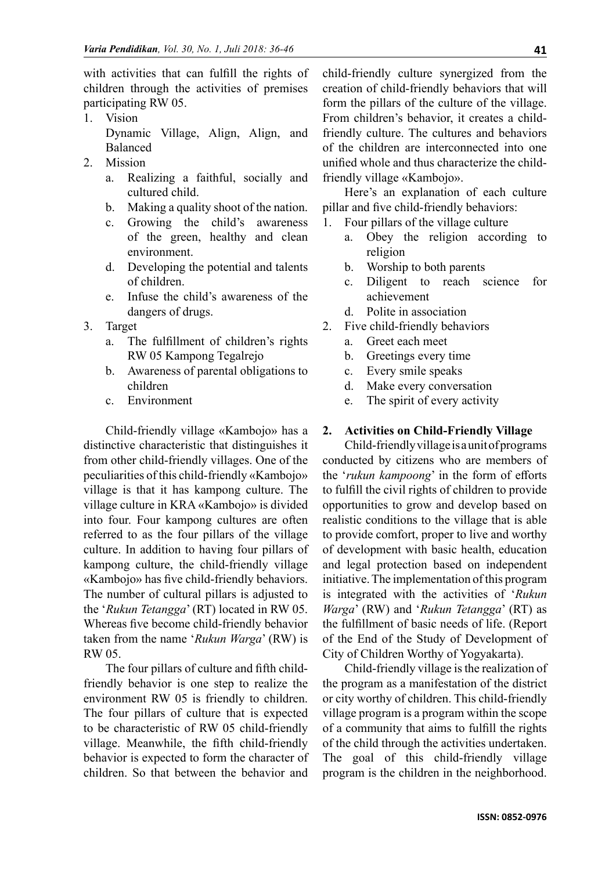with activities that can fulfill the rights of children through the activities of premises participating RW 05.

- 1. Vision Dynamic Village, Align, Align, and Balanced
- 2. Mission
	- a. Realizing a faithful, socially and cultured child.
	- b. Making a quality shoot of the nation.
	- c. Growing the child's awareness of the green, healthy and clean environment.
	- d. Developing the potential and talents of children.
	- e. Infuse the child's awareness of the dangers of drugs.
- 3. Target
	- a. The fulfillment of children's rights RW 05 Kampong Tegalrejo
	- b. Awareness of parental obligations to children
	- c. Environment

Child-friendly village «Kambojo» has a distinctive characteristic that distinguishes it from other child-friendly villages. One of the peculiarities of this child-friendly «Kambojo» village is that it has kampong culture. The village culture in KRA «Kambojo» is divided into four. Four kampong cultures are often referred to as the four pillars of the village culture. In addition to having four pillars of kampong culture, the child-friendly village «Kambojo» has five child-friendly behaviors. The number of cultural pillars is adjusted to the '*Rukun Tetangga*' (RT) located in RW 05. Whereas five become child-friendly behavior taken from the name '*Rukun Warga*' (RW) is RW 05.

The four pillars of culture and fifth childfriendly behavior is one step to realize the environment RW 05 is friendly to children. The four pillars of culture that is expected to be characteristic of RW 05 child-friendly village. Meanwhile, the fifth child-friendly behavior is expected to form the character of children. So that between the behavior and

child-friendly culture synergized from the creation of child-friendly behaviors that will form the pillars of the culture of the village. From children's behavior, it creates a childfriendly culture. The cultures and behaviors of the children are interconnected into one unified whole and thus characterize the childfriendly village «Kambojo».

Here's an explanation of each culture pillar and five child-friendly behaviors:

- 1. Four pillars of the village culture
	- a. Obey the religion according to religion
	- b. Worship to both parents
	- c. Diligent to reach science for achievement
	- d. Polite in association
- 2. Five child-friendly behaviors
	- a. Greet each meet
	- b. Greetings every time
	- c. Every smile speaks
	- d. Make every conversation
	- e. The spirit of every activity

#### **2. Activities on Child-Friendly Village**

Child-friendly village is a unit of programs conducted by citizens who are members of the '*rukun kampoong*' in the form of efforts to fulfill the civil rights of children to provide opportunities to grow and develop based on realistic conditions to the village that is able to provide comfort, proper to live and worthy of development with basic health, education and legal protection based on independent initiative. The implementation of this program is integrated with the activities of '*Rukun Warga*' (RW) and '*Rukun Tetangga*' (RT) as the fulfillment of basic needs of life. (Report of the End of the Study of Development of City of Children Worthy of Yogyakarta).

Child-friendly village is the realization of the program as a manifestation of the district or city worthy of children. This child-friendly village program is a program within the scope of a community that aims to fulfill the rights of the child through the activities undertaken. The goal of this child-friendly village program is the children in the neighborhood.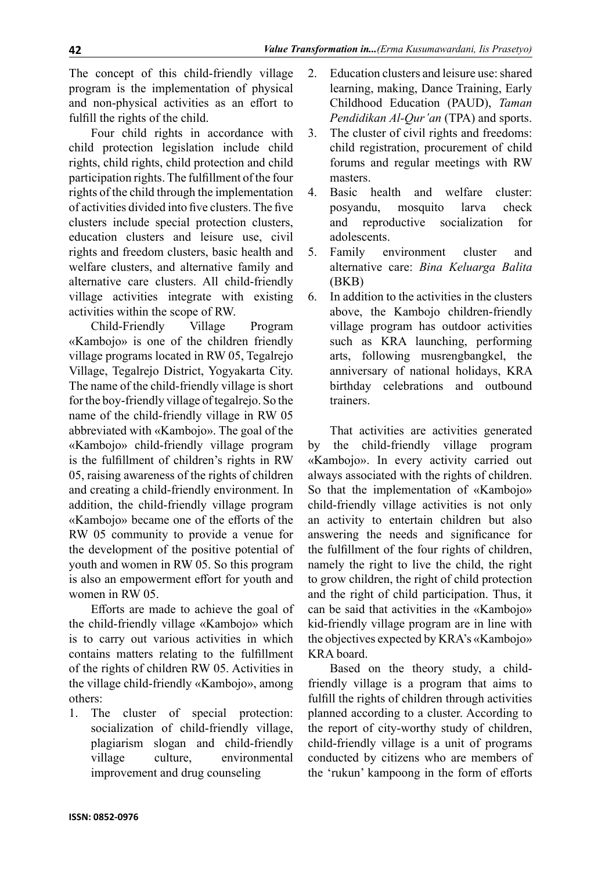The concept of this child-friendly village program is the implementation of physical and non-physical activities as an effort to fulfill the rights of the child.

Four child rights in accordance with child protection legislation include child rights, child rights, child protection and child participation rights. The fulfillment of the four rights of the child through the implementation of activities divided into five clusters. The five clusters include special protection clusters, education clusters and leisure use, civil rights and freedom clusters, basic health and welfare clusters, and alternative family and alternative care clusters. All child-friendly village activities integrate with existing activities within the scope of RW.

Child-Friendly Village Program «Kambojo» is one of the children friendly village programs located in RW 05, Tegalrejo Village, Tegalrejo District, Yogyakarta City. The name of the child-friendly village is short for the boy-friendly village of tegalrejo. So the name of the child-friendly village in RW 05 abbreviated with «Kambojo». The goal of the «Kambojo» child-friendly village program is the fulfillment of children's rights in RW 05, raising awareness of the rights of children and creating a child-friendly environment. In addition, the child-friendly village program «Kambojo» became one of the efforts of the RW 05 community to provide a venue for the development of the positive potential of youth and women in RW 05. So this program is also an empowerment effort for youth and women in RW 05.

Efforts are made to achieve the goal of the child-friendly village «Kambojo» which is to carry out various activities in which contains matters relating to the fulfillment of the rights of children RW 05. Activities in the village child-friendly «Kambojo», among others:

1. The cluster of special protection: socialization of child-friendly village, plagiarism slogan and child-friendly village culture, environmental improvement and drug counseling

- 2. Education clusters and leisure use: shared learning, making, Dance Training, Early Childhood Education (PAUD), *Taman Pendidikan Al-Qur'an* (TPA) and sports.
- 3. The cluster of civil rights and freedoms: child registration, procurement of child forums and regular meetings with RW masters.
- 4. Basic health and welfare cluster: posyandu, mosquito larva check and reproductive socialization for adolescents.
- 5. Family environment cluster and alternative care: *Bina Keluarga Balita* (BKB)
- 6. In addition to the activities in the clusters above, the Kambojo children-friendly village program has outdoor activities such as KRA launching, performing arts, following musrengbangkel, the anniversary of national holidays, KRA birthday celebrations and outbound trainers.

That activities are activities generated by the child-friendly village program «Kambojo». In every activity carried out always associated with the rights of children. So that the implementation of «Kambojo» child-friendly village activities is not only an activity to entertain children but also answering the needs and significance for the fulfillment of the four rights of children, namely the right to live the child, the right to grow children, the right of child protection and the right of child participation. Thus, it can be said that activities in the «Kambojo» kid-friendly village program are in line with the objectives expected by KRA's «Kambojo» KRA board.

Based on the theory study, a childfriendly village is a program that aims to fulfill the rights of children through activities planned according to a cluster. According to the report of city-worthy study of children, child-friendly village is a unit of programs conducted by citizens who are members of the 'rukun' kampoong in the form of efforts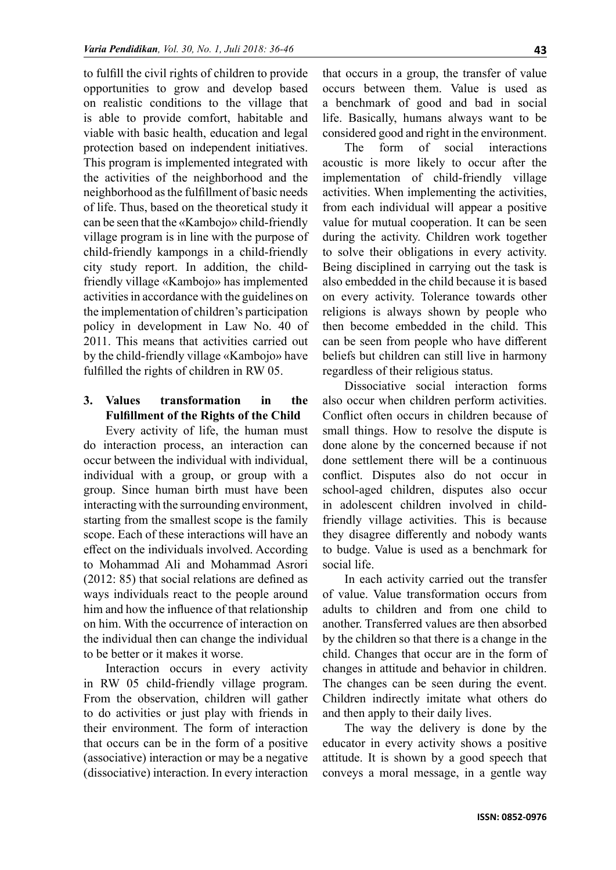to fulfill the civil rights of children to provide opportunities to grow and develop based on realistic conditions to the village that is able to provide comfort, habitable and viable with basic health, education and legal protection based on independent initiatives. This program is implemented integrated with the activities of the neighborhood and the neighborhood as the fulfillment of basic needs of life. Thus, based on the theoretical study it can be seen that the «Kambojo» child-friendly village program is in line with the purpose of child-friendly kampongs in a child-friendly city study report. In addition, the childfriendly village «Kambojo» has implemented activities in accordance with the guidelines on the implementation of children's participation policy in development in Law No. 40 of 2011. This means that activities carried out by the child-friendly village «Kambojo» have fulfilled the rights of children in RW 05.

## **3. Values transformation in the Fulfillment of the Rights of the Child**

Every activity of life, the human must do interaction process, an interaction can occur between the individual with individual, individual with a group, or group with a group. Since human birth must have been interacting with the surrounding environment, starting from the smallest scope is the family scope. Each of these interactions will have an effect on the individuals involved. According to Mohammad Ali and Mohammad Asrori (2012: 85) that social relations are defined as ways individuals react to the people around him and how the influence of that relationship on him. With the occurrence of interaction on the individual then can change the individual to be better or it makes it worse.

Interaction occurs in every activity in RW 05 child-friendly village program. From the observation, children will gather to do activities or just play with friends in their environment. The form of interaction that occurs can be in the form of a positive (associative) interaction or may be a negative (dissociative) interaction. In every interaction

that occurs in a group, the transfer of value occurs between them. Value is used as a benchmark of good and bad in social life. Basically, humans always want to be considered good and right in the environment.

The form of social interactions acoustic is more likely to occur after the implementation of child-friendly village activities. When implementing the activities, from each individual will appear a positive value for mutual cooperation. It can be seen during the activity. Children work together to solve their obligations in every activity. Being disciplined in carrying out the task is also embedded in the child because it is based on every activity. Tolerance towards other religions is always shown by people who then become embedded in the child. This can be seen from people who have different beliefs but children can still live in harmony regardless of their religious status.

Dissociative social interaction forms also occur when children perform activities. Conflict often occurs in children because of small things. How to resolve the dispute is done alone by the concerned because if not done settlement there will be a continuous conflict. Disputes also do not occur in school-aged children, disputes also occur in adolescent children involved in childfriendly village activities. This is because they disagree differently and nobody wants to budge. Value is used as a benchmark for social life.

In each activity carried out the transfer of value. Value transformation occurs from adults to children and from one child to another. Transferred values are then absorbed by the children so that there is a change in the child. Changes that occur are in the form of changes in attitude and behavior in children. The changes can be seen during the event. Children indirectly imitate what others do and then apply to their daily lives.

The way the delivery is done by the educator in every activity shows a positive attitude. It is shown by a good speech that conveys a moral message, in a gentle way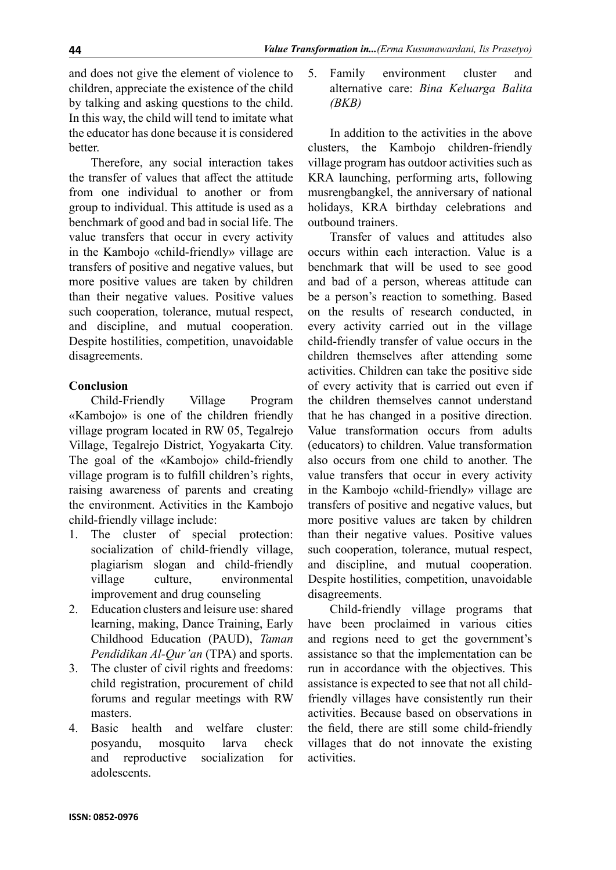and does not give the element of violence to children, appreciate the existence of the child by talking and asking questions to the child. In this way, the child will tend to imitate what the educator has done because it is considered better.

Therefore, any social interaction takes the transfer of values that affect the attitude from one individual to another or from group to individual. This attitude is used as a benchmark of good and bad in social life. The value transfers that occur in every activity in the Kambojo «child-friendly» village are transfers of positive and negative values, but more positive values are taken by children than their negative values. Positive values such cooperation, tolerance, mutual respect, and discipline, and mutual cooperation. Despite hostilities, competition, unavoidable disagreements.

## **Conclusion**

Child-Friendly Village Program «Kambojo» is one of the children friendly village program located in RW 05, Tegalrejo Village, Tegalrejo District, Yogyakarta City. The goal of the «Kambojo» child-friendly village program is to fulfill children's rights, raising awareness of parents and creating the environment. Activities in the Kambojo child-friendly village include:

- 1. The cluster of special protection: socialization of child-friendly village, plagiarism slogan and child-friendly village culture, environmental improvement and drug counseling
- 2. Education clusters and leisure use: shared learning, making, Dance Training, Early Childhood Education (PAUD), *Taman Pendidikan Al-Qur'an* (TPA) and sports.
- 3. The cluster of civil rights and freedoms: child registration, procurement of child forums and regular meetings with RW masters.
- 4. Basic health and welfare cluster: posyandu, mosquito larva check and reproductive socialization for adolescents.

5. Family environment cluster and alternative care: *Bina Keluarga Balita (BKB)*

In addition to the activities in the above clusters, the Kambojo children-friendly village program has outdoor activities such as KRA launching, performing arts, following musrengbangkel, the anniversary of national holidays, KRA birthday celebrations and outbound trainers.

Transfer of values and attitudes also occurs within each interaction. Value is a benchmark that will be used to see good and bad of a person, whereas attitude can be a person's reaction to something. Based on the results of research conducted, in every activity carried out in the village child-friendly transfer of value occurs in the children themselves after attending some activities. Children can take the positive side of every activity that is carried out even if the children themselves cannot understand that he has changed in a positive direction. Value transformation occurs from adults (educators) to children. Value transformation also occurs from one child to another. The value transfers that occur in every activity in the Kambojo «child-friendly» village are transfers of positive and negative values, but more positive values are taken by children than their negative values. Positive values such cooperation, tolerance, mutual respect, and discipline, and mutual cooperation. Despite hostilities, competition, unavoidable disagreements.

Child-friendly village programs that have been proclaimed in various cities and regions need to get the government's assistance so that the implementation can be run in accordance with the objectives. This assistance is expected to see that not all childfriendly villages have consistently run their activities. Because based on observations in the field, there are still some child-friendly villages that do not innovate the existing activities.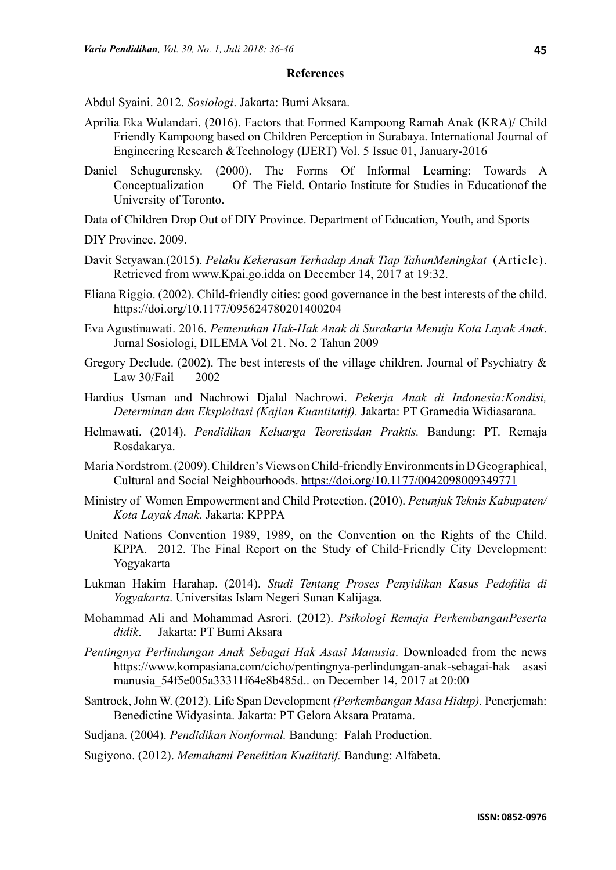#### **References**

Abdul Syaini. 2012. *Sosiologi*. Jakarta: Bumi Aksara.

- Aprilia Eka Wulandari. (2016). Factors that Formed Kampoong Ramah Anak (KRA)/ Child Friendly Kampoong based on Children Perception in Surabaya. International Journal of Engineering Research &Technology (IJERT) Vol. 5 Issue 01, January-2016
- Daniel Schugurensky. (2000). The Forms Of Informal Learning: Towards A Conceptualization Of The Field. Ontario Institute for Studies in Educationof the University of Toronto.
- Data of Children Drop Out of DIY Province. Department of Education, Youth, and Sports
- DIY Province. 2009.
- Davit Setyawan.(2015). *Pelaku Kekerasan Terhadap Anak Tiap TahunMeningkat* (Article). Retrieved from www.Kpai.go.idda on December 14, 2017 at 19:32.
- Eliana Riggio. (2002). Child-friendly cities: good governance in the best interests of the child. [https://doi.org/10.1177/095624780201400204](https://doi.org/10.1177%2F095624780201400204)
- Eva Agustinawati. 2016. *Pemenuhan Hak-Hak Anak di Surakarta Menuju Kota Layak Anak*. Jurnal Sosiologi, DILEMA Vol 21. No. 2 Tahun 2009
- Gregory Declude. (2002). The best interests of the village children. Journal of Psychiatry & Law 30/Fail 2002
- Hardius Usman and Nachrowi Djalal Nachrowi. *Pekerja Anak di Indonesia:Kondisi, Determinan dan Eksploitasi (Kajian Kuantitatif).* Jakarta: PT Gramedia Widiasarana.
- Helmawati. (2014). *Pendidikan Keluarga Teoretisdan Praktis.* Bandung: PT. Remaja Rosdakarya.
- Maria Nordstrom. (2009). Children's Views on Child-friendly Environments in D Geographical, Cultural and Social Neighbourhoods. [https://doi.org/10.1177/0042098009349771](https://doi.org/10.1177%2F0042098009349771)
- Ministry of Women Empowerment and Child Protection. (2010). *Petunjuk Teknis Kabupaten/ Kota Layak Anak.* Jakarta: KPPPA
- United Nations Convention 1989, 1989, on the Convention on the Rights of the Child. KPPA. 2012. The Final Report on the Study of Child-Friendly City Development: Yogyakarta
- Lukman Hakim Harahap. (2014). *Studi Tentang Proses Penyidikan Kasus Pedofilia di Yogyakarta*. Universitas Islam Negeri Sunan Kalijaga.
- Mohammad Ali and Mohammad Asrori. (2012). *Psikologi Remaja PerkembanganPeserta didik*. Jakarta: PT Bumi Aksara
- *Pentingnya Perlindungan Anak Sebagai Hak Asasi Manusia*. Downloaded from the news [https://www.kompasiana.com/cicho/pentingnya-perlindungan-anak-sebagai-hak asasi](https://www.kompasiana.com/cicho/pentingnya-perlindungan-anak-sebagai-hak%09asasi%09manusia_54f5e005a33311f64e8b485d)  [manusia\\_54f5e005a33311f64e8b485d](https://www.kompasiana.com/cicho/pentingnya-perlindungan-anak-sebagai-hak%09asasi%09manusia_54f5e005a33311f64e8b485d).. on December 14, 2017 at 20:00
- Santrock, John W. (2012). Life Span Development *(Perkembangan Masa Hidup).* Penerjemah: Benedictine Widyasinta. Jakarta: PT Gelora Aksara Pratama.

Sudjana. (2004). *Pendidikan Nonformal.* Bandung: Falah Production.

Sugiyono. (2012). *Memahami Penelitian Kualitatif.* Bandung: Alfabeta.